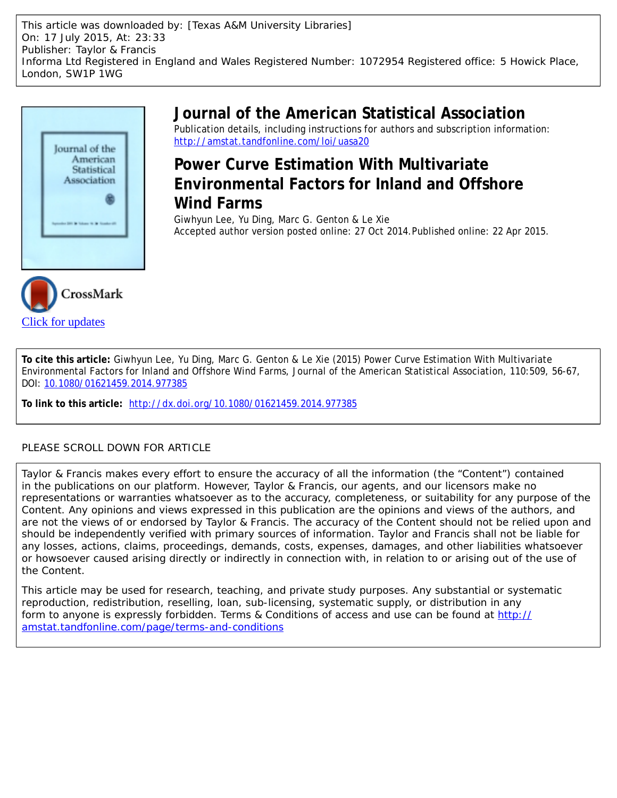This article was downloaded by: [Texas A&M University Libraries] On: 17 July 2015, At: 23:33 Publisher: Taylor & Francis Informa Ltd Registered in England and Wales Registered Number: 1072954 Registered office: 5 Howick Place, London, SW1P 1WG





<http://amstat.tandfonline.com/loi/uasa20>

# **Power Curve Estimation With Multivariate Environmental Factors for Inland and Offshore Wind Farms**

Giwhyun Lee, Yu Ding, Marc G. Genton & Le Xie Accepted author version posted online: 27 Oct 2014.Published online: 22 Apr 2015.

[Click for updates](http://crossmark.crossref.org/dialog/?doi=10.1080/01621459.2014.977385&domain=pdf&date_stamp=2014-10-27)

**To cite this article:** Giwhyun Lee, Yu Ding, Marc G. Genton & Le Xie (2015) Power Curve Estimation With Multivariate Environmental Factors for Inland and Offshore Wind Farms, Journal of the American Statistical Association, 110:509, 56-67, DOI: [10.1080/01621459.2014.977385](http://amstat.tandfonline.com/action/showCitFormats?doi=10.1080/01621459.2014.977385)

**To link to this article:** <http://dx.doi.org/10.1080/01621459.2014.977385>

# PLEASE SCROLL DOWN FOR ARTICLE

Taylor & Francis makes every effort to ensure the accuracy of all the information (the "Content") contained in the publications on our platform. However, Taylor & Francis, our agents, and our licensors make no representations or warranties whatsoever as to the accuracy, completeness, or suitability for any purpose of the Content. Any opinions and views expressed in this publication are the opinions and views of the authors, and are not the views of or endorsed by Taylor & Francis. The accuracy of the Content should not be relied upon and should be independently verified with primary sources of information. Taylor and Francis shall not be liable for any losses, actions, claims, proceedings, demands, costs, expenses, damages, and other liabilities whatsoever or howsoever caused arising directly or indirectly in connection with, in relation to or arising out of the use of the Content.

This article may be used for research, teaching, and private study purposes. Any substantial or systematic reproduction, redistribution, reselling, loan, sub-licensing, systematic supply, or distribution in any form to anyone is expressly forbidden. Terms & Conditions of access and use can be found at [http://](http://amstat.tandfonline.com/page/terms-and-conditions) [amstat.tandfonline.com/page/terms-and-conditions](http://amstat.tandfonline.com/page/terms-and-conditions)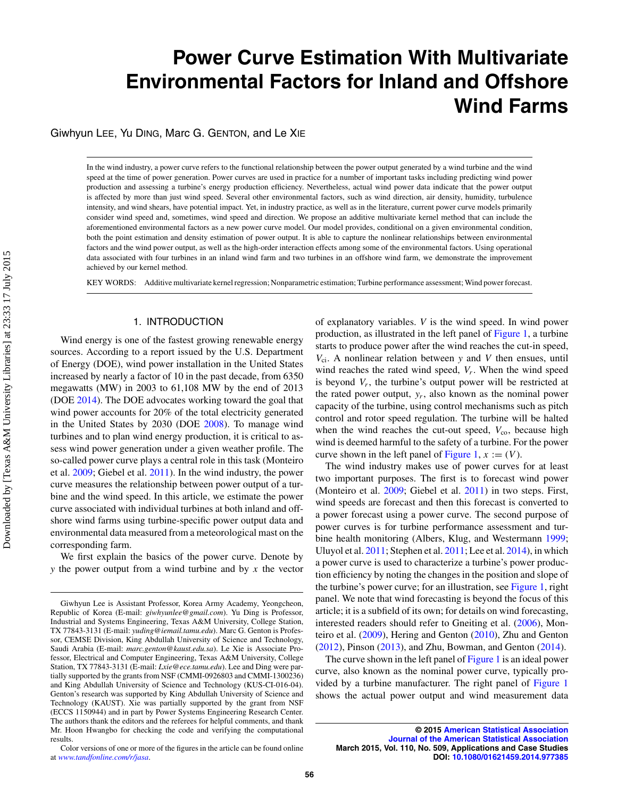# **Power Curve Estimation With Multivariate Environmental Factors for Inland and Offshore Wind Farms**

Giwhyun LEE, Yu DING, Marc G. GENTON, and Le XIE

In the wind industry, a power curve refers to the functional relationship between the power output generated by a wind turbine and the wind speed at the time of power generation. Power curves are used in practice for a number of important tasks including predicting wind power production and assessing a turbine's energy production efficiency. Nevertheless, actual wind power data indicate that the power output is affected by more than just wind speed. Several other environmental factors, such as wind direction, air density, humidity, turbulence intensity, and wind shears, have potential impact. Yet, in industry practice, as well as in the literature, current power curve models primarily consider wind speed and, sometimes, wind speed and direction. We propose an additive multivariate kernel method that can include the aforementioned environmental factors as a new power curve model. Our model provides, conditional on a given environmental condition, both the point estimation and density estimation of power output. It is able to capture the nonlinear relationships between environmental factors and the wind power output, as well as the high-order interaction effects among some of the environmental factors. Using operational data associated with four turbines in an inland wind farm and two turbines in an offshore wind farm, we demonstrate the improvement achieved by our kernel method.

KEY WORDS: Additive multivariate kernel regression; Nonparametric estimation; Turbine performance assessment; Wind power forecast.

# 1. INTRODUCTION

<span id="page-1-2"></span>Wind energy is one of the fastest growing renewable energy sources. According to a report issued by the U.S. Department of Energy (DOE), wind power installation in the United States increased by nearly a factor of 10 in the past decade, from 6350 megawatts (MW) in 2003 to 61,108 MW by the end of 2013 (DOE [2014\)](#page-11-0). The DOE advocates working toward the goal that wind power accounts for 20% of the total electricity generated in the United States by 2030 (DOE [2008\)](#page-11-1). To manage wind turbines and to plan wind energy production, it is critical to assess wind power generation under a given weather profile. The so-called power curve plays a central role in this task (Monteiro et al. [2009;](#page-11-2) Giebel et al. [2011\)](#page-11-3). In the wind industry, the power curve measures the relationship between power output of a turbine and the wind speed. In this article, we estimate the power curve associated with individual turbines at both inland and offshore wind farms using turbine-specific power output data and environmental data measured from a meteorological mast on the corresponding farm.

<span id="page-1-7"></span><span id="page-1-3"></span>We first explain the basics of the power curve. Denote by *y* the power output from a wind turbine and by *x* the vector of explanatory variables. *V* is the wind speed. In wind power production, as illustrated in the left panel of [Figure 1,](#page-2-0) a turbine starts to produce power after the wind reaches the cut-in speed,  $V_{ci}$ . A nonlinear relation between *y* and *V* then ensues, until wind reaches the rated wind speed, *Vr*. When the wind speed is beyond  $V_r$ , the turbine's output power will be restricted at the rated power output,  $y_r$ , also known as the nominal power capacity of the turbine, using control mechanisms such as pitch control and rotor speed regulation. The turbine will be halted when the wind reaches the cut-out speed,  $V_{\text{co}}$ , because high wind is deemed harmful to the safety of a turbine. For the power curve shown in the left panel of [Figure 1,](#page-2-0)  $x := (V)$ .

<span id="page-1-10"></span><span id="page-1-9"></span><span id="page-1-6"></span><span id="page-1-1"></span><span id="page-1-0"></span>The wind industry makes use of power curves for at least two important purposes. The first is to forecast wind power (Monteiro et al. [2009;](#page-11-2) Giebel et al. [2011\)](#page-11-3) in two steps. First, wind speeds are forecast and then this forecast is converted to a power forecast using a power curve. The second purpose of power curves is for turbine performance assessment and turbine health monitoring (Albers, Klug, and Westermann [1999;](#page-11-4) Uluyol et al. [2011;](#page-12-0) Stephen et al. [2011;](#page-12-1) Lee et al. [2014\)](#page-11-5), in which a power curve is used to characterize a turbine's power production efficiency by noting the changes in the position and slope of the turbine's power curve; for an illustration, see [Figure 1,](#page-2-0) right panel. We note that wind forecasting is beyond the focus of this article; it is a subfield of its own; for details on wind forecasting, interested readers should refer to Gneiting et al. [\(2006\)](#page-11-6), Monteiro et al. [\(2009\)](#page-11-2), Hering and Genton [\(2010\)](#page-11-7), Zhu and Genton [\(2012\)](#page-12-2), Pinson [\(2013\)](#page-12-3), and Zhu, Bowman, and Genton [\(2014\)](#page-12-4).

<span id="page-1-12"></span><span id="page-1-8"></span><span id="page-1-5"></span><span id="page-1-4"></span>The curve shown in the left panel of [Figure 1](#page-2-0) is an ideal power curve, also known as the nominal power curve, typically provided by a turbine manufacturer. The right panel of [Figure 1](#page-2-0) shows the actual power output and wind measurement data

Giwhyun Lee is Assistant Professor, Korea Army Academy, Yeongcheon, Republic of Korea (E-mail: *giwhyunlee@gmail.com*). Yu Ding is Professor, Industrial and Systems Engineering, Texas A&M University, College Station, TX 77843-3131 (E-mail: *yuding@iemail.tamu.edu*). Marc G. Genton is Professor, CEMSE Division, King Abdullah University of Science and Technology, Saudi Arabia (E-mail: *marc.genton@kaust.edu.sa*). Le Xie is Associate Professor, Electrical and Computer Engineering, Texas A&M University, College Station, TX 77843-3131 (E-mail: *Lxie@ece.tamu.edu*). Lee and Ding were partially supported by the grants from NSF (CMMI-0926803 and CMMI-1300236) and King Abdullah University of Science and Technology (KUS-CI-016-04). Genton's research was supported by King Abdullah University of Science and Technology (KAUST). Xie was partially supported by the grant from NSF (ECCS 1150944) and in part by Power Systems Engineering Research Center. The authors thank the editors and the referees for helpful comments, and thank Mr. Hoon Hwangbo for checking the code and verifying the computational results.

Color versions of one or more of the figures in the article can be found online at *[www.tandfonline.com/r/jasa](http://www.tandfonline.com/r/jasa)*.

<span id="page-1-11"></span>**<sup>© 2015</sup> [American Statistical Association](http://www.amstat.org) [Journal of the American Statistical Association](http://pubs.amstat.org/loi/jasa) March 2015, Vol. 110, No. 509, Applications and Case Studies DOI: [10.1080/01621459.2014.977385](http://dx.doi.org/10.1080/01621459.2014.977385)**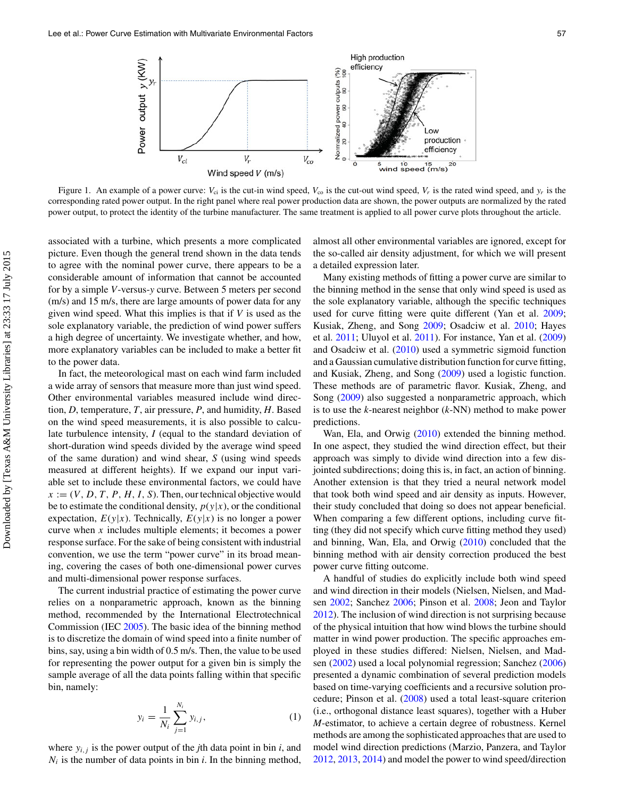<span id="page-2-0"></span>

Figure 1. An example of a power curve:  $V_{ci}$  is the cut-in wind speed,  $V_{co}$  is the cut-out wind speed,  $V_r$  is the rated wind speed, and  $y_r$  is the corresponding rated power output. In the right panel where real power production data are shown, the power outputs are normalized by the rated power output, to protect the identity of the turbine manufacturer. The same treatment is applied to all power curve plots throughout the article.

associated with a turbine, which presents a more complicated picture. Even though the general trend shown in the data tends to agree with the nominal power curve, there appears to be a considerable amount of information that cannot be accounted for by a simple *V*-versus-*y* curve. Between 5 meters per second (m/s) and 15 m/s, there are large amounts of power data for any given wind speed. What this implies is that if *V* is used as the sole explanatory variable, the prediction of wind power suffers a high degree of uncertainty. We investigate whether, and how, more explanatory variables can be included to make a better fit to the power data.

In fact, the meteorological mast on each wind farm included a wide array of sensors that measure more than just wind speed. Other environmental variables measured include wind direction, *D*, temperature, *T*, air pressure, *P*, and humidity, *H*. Based on the wind speed measurements, it is also possible to calculate turbulence intensity, *I* (equal to the standard deviation of short-duration wind speeds divided by the average wind speed of the same duration) and wind shear, *S* (using wind speeds measured at different heights). If we expand our input variable set to include these environmental factors, we could have  $x := (V, D, T, P, H, I, S)$ . Then, our technical objective would be to estimate the conditional density,  $p(y|x)$ , or the conditional expectation,  $E(y|x)$ . Technically,  $E(y|x)$  is no longer a power curve when *x* includes multiple elements; it becomes a power response surface. For the sake of being consistent with industrial convention, we use the term "power curve" in its broad meaning, covering the cases of both one-dimensional power curves and multi-dimensional power response surfaces.

The current industrial practice of estimating the power curve relies on a nonparametric approach, known as the binning method, recommended by the International Electrotechnical Commission (IEC [2005\)](#page-11-8). The basic idea of the binning method is to discretize the domain of wind speed into a finite number of bins, say, using a bin width of 0.5 m/s. Then, the value to be used for representing the power output for a given bin is simply the sample average of all the data points falling within that specific bin, namely:

<span id="page-2-5"></span><span id="page-2-2"></span>
$$
y_i = \frac{1}{N_i} \sum_{j=1}^{N_i} y_{i,j},
$$
 (1)

where *yi,j* is the power output of the *j*th data point in bin *i*, and  $N_i$  is the number of data points in bin *i*. In the binning method,

almost all other environmental variables are ignored, except for the so-called air density adjustment, for which we will present a detailed expression later.

<span id="page-2-14"></span><span id="page-2-12"></span><span id="page-2-9"></span><span id="page-2-4"></span><span id="page-2-1"></span>Many existing methods of fitting a power curve are similar to the binning method in the sense that only wind speed is used as the sole explanatory variable, although the specific techniques used for curve fitting were quite different (Yan et al. [2009;](#page-12-5) Kusiak, Zheng, and Song [2009;](#page-11-9) Osadciw et al. [2010;](#page-12-6) Hayes et al. [2011;](#page-11-10) Uluyol et al. [2011\)](#page-12-0). For instance, Yan et al. [\(2009\)](#page-12-5) and Osadciw et al. [\(2010\)](#page-12-6) used a symmetric sigmoid function and a Gaussian cumulative distribution function for curve fitting, and Kusiak, Zheng, and Song [\(2009\)](#page-11-9) used a logistic function. These methods are of parametric flavor. Kusiak, Zheng, and Song [\(2009\)](#page-11-9) also suggested a nonparametric approach, which is to use the *k*-nearest neighbor (*k*-NN) method to make power predictions.

<span id="page-2-13"></span>Wan, Ela, and Orwig [\(2010\)](#page-12-7) extended the binning method. In one aspect, they studied the wind direction effect, but their approach was simply to divide wind direction into a few disjointed subdirections; doing this is, in fact, an action of binning. Another extension is that they tried a neural network model that took both wind speed and air density as inputs. However, their study concluded that doing so does not appear beneficial. When comparing a few different options, including curve fitting (they did not specify which curve fitting method they used) and binning, Wan, Ela, and Orwig [\(2010\)](#page-12-7) concluded that the binning method with air density correction produced the best power curve fitting outcome.

<span id="page-2-11"></span><span id="page-2-10"></span><span id="page-2-8"></span><span id="page-2-7"></span><span id="page-2-6"></span><span id="page-2-3"></span>A handful of studies do explicitly include both wind speed and wind direction in their models (Nielsen, Nielsen, and Madsen [2002;](#page-12-8) Sanchez [2006;](#page-12-9) Pinson et al. [2008;](#page-12-10) Jeon and Taylor [2012\)](#page-11-11). The inclusion of wind direction is not surprising because of the physical intuition that how wind blows the turbine should matter in wind power production. The specific approaches employed in these studies differed: Nielsen, Nielsen, and Madsen [\(2002\)](#page-12-8) used a local polynomial regression; Sanchez [\(2006\)](#page-12-9) presented a dynamic combination of several prediction models based on time-varying coefficients and a recursive solution procedure; Pinson et al. [\(2008\)](#page-12-10) used a total least-square criterion (i.e., orthogonal distance least squares), together with a Huber *M*-estimator, to achieve a certain degree of robustness. Kernel methods are among the sophisticated approaches that are used to model wind direction predictions (Marzio, Panzera, and Taylor [2012,](#page-11-12) [2013,](#page-11-13) [2014\)](#page-11-14) and model the power to wind speed/direction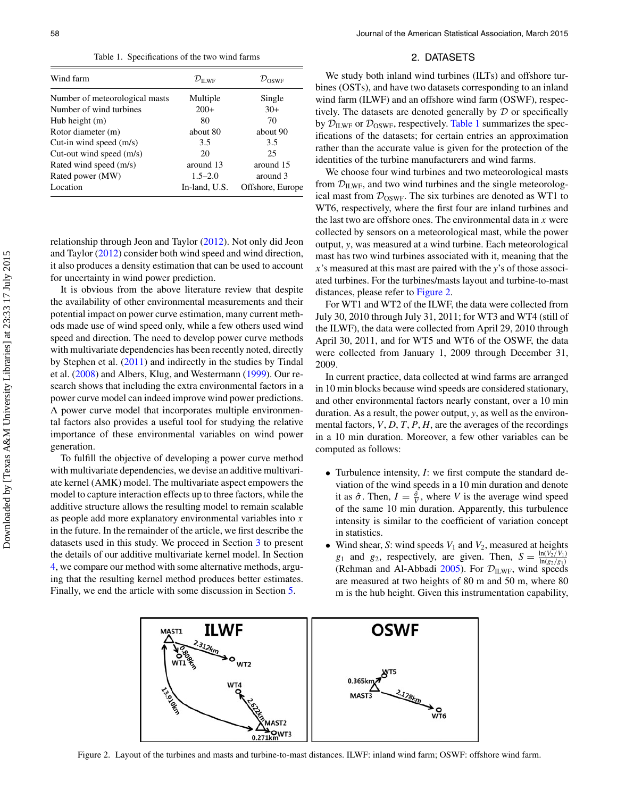Table 1. Specifications of the two wind farms

<span id="page-3-0"></span>

| Wind farm                      | $\mathcal{D}_{\textrm{H WE}}$ | $\mathcal{D}_{\text{OSWF}}$ |
|--------------------------------|-------------------------------|-----------------------------|
| Number of meteorological masts | Multiple                      | Single                      |
| Number of wind turbines        | $200+$                        | $30+$                       |
| Hub height $(m)$               | 80                            | 70                          |
| Rotor diameter (m)             | about 80                      | about 90                    |
| Cut-in wind speed $(m/s)$      | 3.5                           | 3.5                         |
| Cut-out wind speed $(m/s)$     | 20                            | 25                          |
| Rated wind speed (m/s)         | around 13                     | around 15                   |
| Rated power (MW)               | $1.5 - 2.0$                   | around 3                    |
| Location                       | In-land, U.S.                 | Offshore, Europe            |

relationship through Jeon and Taylor [\(2012\)](#page-11-11). Not only did Jeon and Taylor [\(2012\)](#page-11-11) consider both wind speed and wind direction, it also produces a density estimation that can be used to account for uncertainty in wind power prediction.

<span id="page-3-4"></span>It is obvious from the above literature review that despite the availability of other environmental measurements and their potential impact on power curve estimation, many current methods made use of wind speed only, while a few others used wind speed and direction. The need to develop power curve methods with multivariate dependencies has been recently noted, directly by Stephen et al. [\(2011\)](#page-12-1) and indirectly in the studies by Tindal et al. [\(2008\)](#page-12-11) and Albers, Klug, and Westermann [\(1999\)](#page-11-4). Our research shows that including the extra environmental factors in a power curve model can indeed improve wind power predictions. A power curve model that incorporates multiple environmental factors also provides a useful tool for studying the relative importance of these environmental variables on wind power generation.

<span id="page-3-5"></span>To fulfill the objective of developing a power curve method with multivariate dependencies, we devise an additive multivariate kernel (AMK) model. The multivariate aspect empowers the model to capture interaction effects up to three factors, while the additive structure allows the resulting model to remain scalable as people add more explanatory environmental variables into *x* in the future. In the remainder of the article, we first describe the datasets used in this study. We proceed in Section [3](#page-4-0) to present the details of our additive multivariate kernel model. In Section [4,](#page-7-0) we compare our method with some alternative methods, arguing that the resulting kernel method produces better estimates. Finally, we end the article with some discussion in Section [5.](#page-11-15)

# 2. DATASETS

We study both inland wind turbines (ILTs) and offshore turbines (OSTs), and have two datasets corresponding to an inland wind farm (ILWF) and an offshore wind farm (OSWF), respectively. The datasets are denoted generally by *D* or specifically by  $\mathcal{D}_{\text{ILWF}}$  or  $\mathcal{D}_{\text{OSWF}}$ , respectively. [Table 1](#page-3-0) summarizes the specifications of the datasets; for certain entries an approximation rather than the accurate value is given for the protection of the identities of the turbine manufacturers and wind farms.

We choose four wind turbines and two meteorological masts from  $\mathcal{D}_{\text{ILWF}}$ , and two wind turbines and the single meteorological mast from  $\mathcal{D}_{OSWF}$ . The six turbines are denoted as WT1 to WT6, respectively, where the first four are inland turbines and the last two are offshore ones. The environmental data in *x* were collected by sensors on a meteorological mast, while the power output, *y*, was measured at a wind turbine. Each meteorological mast has two wind turbines associated with it, meaning that the *x*'s measured at this mast are paired with the *y*'s of those associated turbines. For the turbines/masts layout and turbine-to-mast distances, please refer to [Figure 2.](#page-3-1)

For WT1 and WT2 of the ILWF, the data were collected from July 30, 2010 through July 31, 2011; for WT3 and WT4 (still of the ILWF), the data were collected from April 29, 2010 through April 30, 2011, and for WT5 and WT6 of the OSWF, the data were collected from January 1, 2009 through December 31, 2009.

<span id="page-3-2"></span>In current practice, data collected at wind farms are arranged in 10 min blocks because wind speeds are considered stationary, and other environmental factors nearly constant, over a 10 min duration. As a result, the power output, *y*, as well as the environmental factors, *V*, *D*, *T*, *P*, *H*, are the averages of the recordings in a 10 min duration. Moreover, a few other variables can be computed as follows:

- Turbulence intensity, *I*: we first compute the standard deviation of the wind speeds in a 10 min duration and denote it as  $\hat{\sigma}$ . Then,  $I = \frac{\hat{\sigma}}{V}$ , where *V* is the average wind speed of the same 10 min duration. Apparently, this turbulence intensity is similar to the coefficient of variation concept in statistics.
- <span id="page-3-3"></span>Wind shear, *S*: wind speeds  $V_1$  and  $V_2$ , measured at heights *g*<sub>1</sub> and *g*<sub>2</sub>, respectively, are given. Then,  $S = \frac{\ln(V_2/V_1)}{\ln(g_2/g_1)}$ (Rehman and Al-Abbadi  $2005$ ). For  $\mathcal{D}_{\text{ILWF}}$ , wind speeds are measured at two heights of 80 m and 50 m, where 80 m is the hub height. Given this instrumentation capability,

<span id="page-3-1"></span>

Figure 2. Layout of the turbines and masts and turbine-to-mast distances. ILWF: inland wind farm; OSWF: offshore wind farm.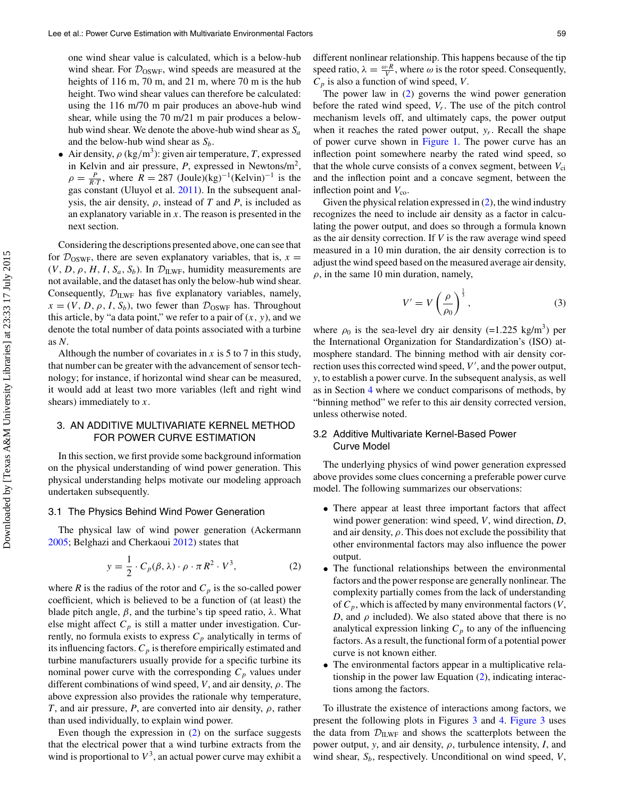one wind shear value is calculated, which is a below-hub wind shear. For  $\mathcal{D}_{OSWF}$ , wind speeds are measured at the heights of 116 m, 70 m, and 21 m, where 70 m is the hub height. Two wind shear values can therefore be calculated: using the 116 m/70 m pair produces an above-hub wind shear, while using the 70 m/21 m pair produces a belowhub wind shear. We denote the above-hub wind shear as *Sa* and the below-hub wind shear as  $S_b$ .

<span id="page-4-5"></span>• Air density,  $\rho$  (kg/m<sup>3</sup>): given air temperature, *T*, expressed in Kelvin and air pressure, *P*, expressed in Newtons/m2,  $\rho = \frac{P}{R \cdot T}$ , where  $R = 287 \text{ (Joule)}(\text{kg})^{-1}(\text{Kelvin})^{-1}$  is the gas constant (Uluyol et al. [2011\)](#page-12-0). In the subsequent analysis, the air density,  $\rho$ , instead of *T* and *P*, is included as an explanatory variable in *x*. The reason is presented in the next section.

Considering the descriptions presented above, one can see that for  $D_{OSWF}$ , there are seven explanatory variables, that is,  $x =$  $(V, D, \rho, H, I, S_a, S_b)$ . In  $\mathcal{D}_{\text{ILWF}}$ , humidity measurements are not available, and the dataset has only the below-hub wind shear. Consequently,  $\mathcal{D}_{\text{ILWF}}$  has five explanatory variables, namely,  $x = (V, D, \rho, I, S_b)$ , two fewer than  $D_{OSWF}$  has. Throughout this article, by "a data point," we refer to a pair of  $(x, y)$ , and we denote the total number of data points associated with a turbine as *N*.

Although the number of covariates in  $x$  is 5 to 7 in this study, that number can be greater with the advancement of sensor technology; for instance, if horizontal wind shear can be measured, it would add at least two more variables (left and right wind shears) immediately to *x*.

# 3. AN ADDITIVE MULTIVARIATE KERNEL METHOD FOR POWER CURVE ESTIMATION

In this section, we first provide some background information on the physical understanding of wind power generation. This physical understanding helps motivate our modeling approach undertaken subsequently.

#### 3.1 The Physics Behind Wind Power Generation

<span id="page-4-3"></span>The physical law of wind power generation (Ackermann [2005;](#page-11-16) Belghazi and Cherkaoui [2012\)](#page-11-17) states that

<span id="page-4-4"></span>
$$
y = \frac{1}{2} \cdot C_p(\beta, \lambda) \cdot \rho \cdot \pi R^2 \cdot V^3,
$$
 (2)

where *R* is the radius of the rotor and  $C_p$  is the so-called power coefficient, which is believed to be a function of (at least) the blade pitch angle, *β*, and the turbine's tip speed ratio, *λ*. What else might affect  $C_p$  is still a matter under investigation. Currently, no formula exists to express  $C_p$  analytically in terms of its influencing factors.  $C_p$  is therefore empirically estimated and turbine manufacturers usually provide for a specific turbine its nominal power curve with the corresponding  $C_p$  values under different combinations of wind speed, *V*, and air density, *ρ*. The above expression also provides the rationale why temperature, *T*, and air pressure, *P*, are converted into air density, *ρ*, rather than used individually, to explain wind power.

Even though the expression in [\(2\)](#page-4-1) on the surface suggests that the electrical power that a wind turbine extracts from the wind is proportional to  $V^3$ , an actual power curve may exhibit a different nonlinear relationship. This happens because of the tip speed ratio,  $\lambda = \frac{\omega \cdot R}{V}$ , where  $\omega$  is the rotor speed. Consequently, *Cp* is also a function of wind speed, *V*.

The power law in  $(2)$  governs the wind power generation before the rated wind speed,  $V_r$ . The use of the pitch control mechanism levels off, and ultimately caps, the power output when it reaches the rated power output, *yr*. Recall the shape of power curve shown in [Figure 1.](#page-2-0) The power curve has an inflection point somewhere nearby the rated wind speed, so that the whole curve consists of a convex segment, between  $V_{ci}$ and the inflection point and a concave segment, between the inflection point and  $V_{\rm co}$ .

Given the physical relation expressed in [\(2\)](#page-4-1), the wind industry recognizes the need to include air density as a factor in calculating the power output, and does so through a formula known as the air density correction. If *V* is the raw average wind speed measured in a 10 min duration, the air density correction is to adjust the wind speed based on the measured average air density,  $\rho$ , in the same 10 min duration, namely,

$$
V' = V\left(\frac{\rho}{\rho_0}\right)^{\frac{1}{3}},\tag{3}
$$

where  $\rho_0$  is the sea-level dry air density (=1.225 kg/m<sup>3</sup>) per the International Organization for Standardization's (ISO) atmosphere standard. The binning method with air density correction uses this corrected wind speed, V', and the power output, *y*, to establish a power curve. In the subsequent analysis, as well as in Section [4](#page-7-0) where we conduct comparisons of methods, by "binning method" we refer to this air density corrected version, unless otherwise noted.

#### <span id="page-4-0"></span>3.2 Additive Multivariate Kernel-Based Power Curve Model

The underlying physics of wind power generation expressed above provides some clues concerning a preferable power curve model. The following summarizes our observations:

- <span id="page-4-2"></span>• There appear at least three important factors that affect wind power generation: wind speed, *V*, wind direction, *D*, and air density,  $\rho$ . This does not exclude the possibility that other environmental factors may also influence the power output.
- <span id="page-4-1"></span>• The functional relationships between the environmental factors and the power response are generally nonlinear. The complexity partially comes from the lack of understanding of *Cp*, which is affected by many environmental factors (*V*, *D*, and  $\rho$  included). We also stated above that there is no analytical expression linking  $C_p$  to any of the influencing factors. As a result, the functional form of a potential power curve is not known either.
- The environmental factors appear in a multiplicative relationship in the power law Equation [\(2\)](#page-4-1), indicating interactions among the factors.

To illustrate the existence of interactions among factors, we present the following plots in Figures [3](#page-5-0) and [4.](#page-5-1) [Figure 3](#page-5-0) uses the data from  $\mathcal{D}_{\text{ILWF}}$  and shows the scatterplots between the power output, *y*, and air density, *ρ*, turbulence intensity, *I*, and wind shear, *Sb*, respectively. Unconditional on wind speed, *V*,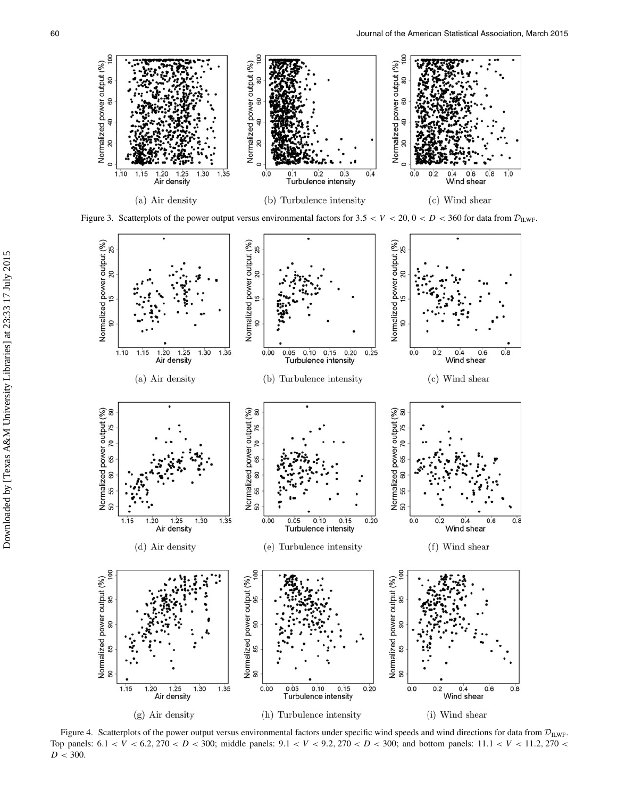<span id="page-5-0"></span>

Figure 3. Scatterplots of the power output versus environmental factors for  $3.5 < V < 20$ ,  $0 < D < 360$  for data from  $\mathcal{D}_{\text{ILWF}}$ .

<span id="page-5-1"></span>

Figure 4. Scatterplots of the power output versus environmental factors under specific wind speeds and wind directions for data from  $\mathcal{D}_{\text{ILWF}}$ . Top panels:  $6.1 < V < 6.2$ ,  $270 < D < 300$ ; middle panels:  $9.1 < V < 9.2$ ,  $270 < D < 300$ ; and bottom panels:  $11.1 < V < 11.2$ ,  $270 <$ *D <* 300.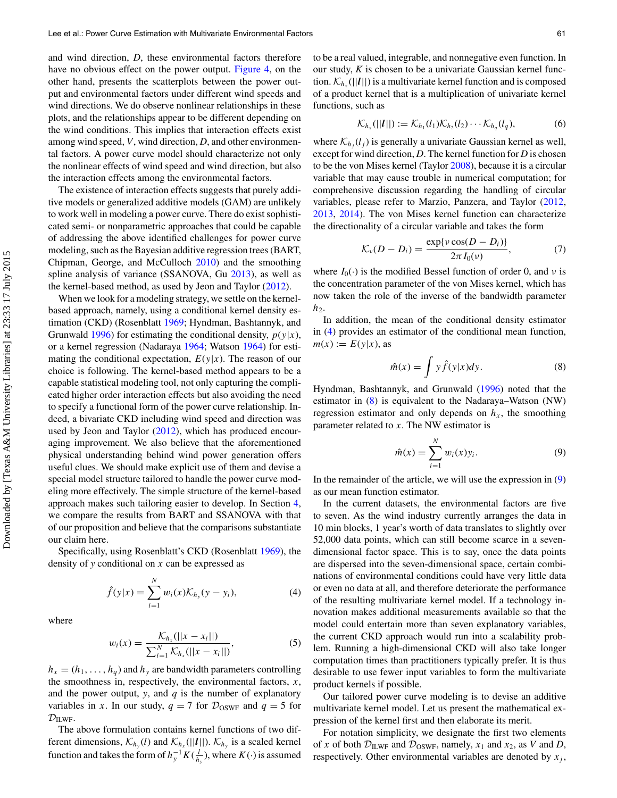and wind direction, *D*, these environmental factors therefore have no obvious effect on the power output. [Figure 4,](#page-5-1) on the other hand, presents the scatterplots between the power output and environmental factors under different wind speeds and wind directions. We do observe nonlinear relationships in these plots, and the relationships appear to be different depending on the wind conditions. This implies that interaction effects exist among wind speed, *V*, wind direction, *D*, and other environmental factors. A power curve model should characterize not only the nonlinear effects of wind speed and wind direction, but also the interaction effects among the environmental factors.

The existence of interaction effects suggests that purely additive models or generalized additive models (GAM) are unlikely to work well in modeling a power curve. There do exist sophisticated semi- or nonparametric approaches that could be capable of addressing the above identified challenges for power curve modeling, such as the Bayesian additive regression trees (BART, Chipman, George, and McCulloch [2010\)](#page-11-18) and the smoothing spline analysis of variance (SSANOVA, Gu [2013\)](#page-11-19), as well as the kernel-based method, as used by Jeon and Taylor [\(2012\)](#page-11-11).

<span id="page-6-11"></span><span id="page-6-5"></span>When we look for a modeling strategy, we settle on the kernelbased approach, namely, using a conditional kernel density estimation (CKD) (Rosenblatt [1969;](#page-12-13) Hyndman, Bashtannyk, and Grunwald [1996\)](#page-11-20) for estimating the conditional density, *p*(*y*|*x*), or a kernel regression (Nadaraya [1964;](#page-12-14) Watson [1964\)](#page-12-15) for estimating the conditional expectation,  $E(y|x)$ . The reason of our choice is following. The kernel-based method appears to be a capable statistical modeling tool, not only capturing the complicated higher order interaction effects but also avoiding the need to specify a functional form of the power curve relationship. Indeed, a bivariate CKD including wind speed and direction was used by Jeon and Taylor [\(2012\)](#page-11-11), which has produced encouraging improvement. We also believe that the aforementioned physical understanding behind wind power generation offers useful clues. We should make explicit use of them and devise a special model structure tailored to handle the power curve modeling more effectively. The simple structure of the kernel-based approach makes such tailoring easier to develop. In Section [4,](#page-7-0) we compare the results from BART and SSANOVA with that of our proposition and believe that the comparisons substantiate our claim here.

Specifically, using Rosenblatt's CKD (Rosenblatt [1969\)](#page-12-13), the density of *y* conditional on *x* can be expressed as

$$
\hat{f}(y|x) = \sum_{i=1}^{N} w_i(x) \mathcal{K}_{h_y}(y - y_i),
$$
\n(4)

where

$$
w_i(x) = \frac{\mathcal{K}_{h_x}(||x - x_i||)}{\sum_{i=1}^N \mathcal{K}_{h_x}(||x - x_i||)},
$$
\n(5)

 $h_x = (h_1, \ldots, h_q)$  and  $h_y$  are bandwidth parameters controlling the smoothness in, respectively, the environmental factors, *x*, and the power output,  $y$ , and  $q$  is the number of explanatory variables in *x*. In our study,  $q = 7$  for  $\mathcal{D}_{OSWF}$  and  $q = 5$  for  $\mathcal{D}_{\text{II.WF}}$ .

The above formulation contains kernel functions of two different dimensions,  $\mathcal{K}_{h_y}(l)$  and  $\mathcal{K}_{h_x}(|l|)$ .  $\mathcal{K}_{h_y}$  is a scaled kernel function and takes the form of  $h_y^{-1} K(\frac{l}{h_y})$ , where  $K(\cdot)$  is assumed

to be a real valued, integrable, and nonnegative even function. In our study, *K* is chosen to be a univariate Gaussian kernel function.  $\mathcal{K}_{h_x}(|l|)|$  is a multivariate kernel function and is composed of a product kernel that is a multiplication of univariate kernel functions, such as

<span id="page-6-12"></span>
$$
\mathcal{K}_{h_x}(|[l]|) := \mathcal{K}_{h_1}(l_1)\mathcal{K}_{h_2}(l_2)\cdots\mathcal{K}_{h_q}(l_q),
$$
 (6)

where  $\mathcal{K}_{h_i}(l_i)$  is generally a univariate Gaussian kernel as well, except for wind direction, *D*. The kernel function for *D* is chosen to be the von Mises kernel (Taylor [2008\)](#page-12-16), because it is a circular variable that may cause trouble in numerical computation; for comprehensive discussion regarding the handling of circular variables, please refer to Marzio, Panzera, and Taylor [\(2012,](#page-11-12) [2013,](#page-11-13) [2014\)](#page-11-14). The von Mises kernel function can characterize the directionality of a circular variable and takes the form

<span id="page-6-9"></span><span id="page-6-7"></span>
$$
\mathcal{K}_{\nu}(D-D_i)=\frac{\exp\{\nu\cos(D-D_i)\}}{2\pi I_0(\nu)},\qquad(7)
$$

<span id="page-6-8"></span><span id="page-6-6"></span><span id="page-6-4"></span><span id="page-6-3"></span>where  $I_0(\cdot)$  is the modified Bessel function of order 0, and *ν* is the concentration parameter of the von Mises kernel, which has now taken the role of the inverse of the bandwidth parameter  $h_2$ .

In addition, the mean of the conditional density estimator in [\(4\)](#page-6-0) provides an estimator of the conditional mean function,  $m(x) := E(y|x)$ , as

<span id="page-6-1"></span>
$$
\hat{m}(x) = \int y \hat{f}(y|x) dy.
$$
 (8)

<span id="page-6-13"></span><span id="page-6-10"></span>Hyndman, Bashtannyk, and Grunwald [\(1996\)](#page-11-20) noted that the estimator in [\(8\)](#page-6-1) is equivalent to the Nadaraya–Watson (NW) regression estimator and only depends on  $h<sub>x</sub>$ , the smoothing parameter related to *x*. The NW estimator is

<span id="page-6-2"></span>
$$
\hat{m}(x) = \sum_{i=1}^{N} w_i(x) y_i.
$$
 (9)

In the remainder of the article, we will use the expression in  $(9)$ as our mean function estimator.

<span id="page-6-0"></span>In the current datasets, the environmental factors are five to seven. As the wind industry currently arranges the data in 10 min blocks, 1 year's worth of data translates to slightly over 52,000 data points, which can still become scarce in a sevendimensional factor space. This is to say, once the data points are dispersed into the seven-dimensional space, certain combinations of environmental conditions could have very little data or even no data at all, and therefore deteriorate the performance of the resulting multivariate kernel model. If a technology innovation makes additional measurements available so that the model could entertain more than seven explanatory variables, the current CKD approach would run into a scalability problem. Running a high-dimensional CKD will also take longer computation times than practitioners typically prefer. It is thus desirable to use fewer input variables to form the multivariate product kernels if possible.

Our tailored power curve modeling is to devise an additive multivariate kernel model. Let us present the mathematical expression of the kernel first and then elaborate its merit.

For notation simplicity, we designate the first two elements of *x* of both  $\mathcal{D}_{\text{ILWF}}$  and  $\mathcal{D}_{\text{OSWF}}$ , namely,  $x_1$  and  $x_2$ , as *V* and *D*, respectively. Other environmental variables are denoted by  $x_j$ ,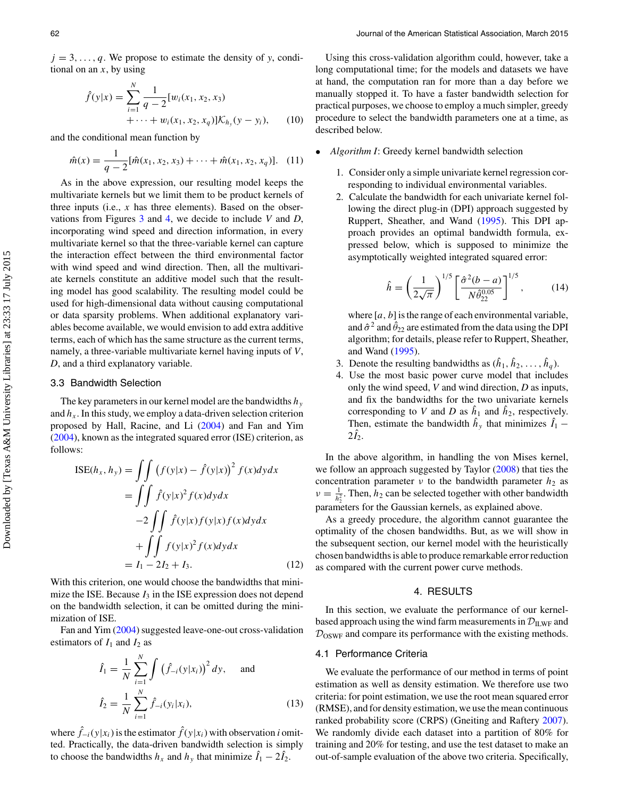$j = 3, \ldots, q$ . We propose to estimate the density of *y*, conditional on an *x*, by using

$$
\hat{f}(y|x) = \sum_{i=1}^{N} \frac{1}{q-2} [w_i(x_1, x_2, x_3) + \dots + w_i(x_1, x_2, x_q)] \mathcal{K}_{h_y}(y - y_i), \quad (10)
$$

and the conditional mean function by

$$
\hat{m}(x) = \frac{1}{q-2} [\hat{m}(x_1, x_2, x_3) + \dots + \hat{m}(x_1, x_2, x_q)]. \tag{11}
$$

As in the above expression, our resulting model keeps the multivariate kernels but we limit them to be product kernels of three inputs (i.e., *x* has three elements). Based on the observations from Figures [3](#page-5-0) and [4,](#page-5-1) we decide to include *V* and *D*, incorporating wind speed and direction information, in every multivariate kernel so that the three-variable kernel can capture the interaction effect between the third environmental factor with wind speed and wind direction. Then, all the multivariate kernels constitute an additive model such that the resulting model has good scalability. The resulting model could be used for high-dimensional data without causing computational or data sparsity problems. When additional explanatory variables become available, we would envision to add extra additive terms, each of which has the same structure as the current terms, namely, a three-variable multivariate kernel having inputs of *V*, *D*, and a third explanatory variable.

#### 3.3 Bandwidth Selection

The key parameters in our kernel model are the bandwidths *hy* and  $h<sub>x</sub>$ . In this study, we employ a data-driven selection criterion proposed by Hall, Racine, and Li [\(2004\)](#page-11-21) and Fan and Yim [\(2004\)](#page-11-22), known as the integrated squared error (ISE) criterion, as follows:

<span id="page-7-1"></span>
$$
ISE(h_x, h_y) = \iint (f(y|x) - \hat{f}(y|x))^2 f(x) dy dx
$$
  
= 
$$
\iint \hat{f}(y|x)^2 f(x) dy dx
$$
  

$$
-2 \iint \hat{f}(y|x) f(y|x) f(x) dy dx
$$
  
+ 
$$
\iint f(y|x)^2 f(x) dy dx
$$
  
=  $I_1 - 2I_2 + I_3.$  (12)

With this criterion, one would choose the bandwidths that minimize the ISE. Because  $I_3$  in the ISE expression does not depend on the bandwidth selection, it can be omitted during the minimization of ISE.

Fan and Yim [\(2004\)](#page-11-22) suggested leave-one-out cross-validation estimators of  $I_1$  and  $I_2$  as

$$
\hat{I}_1 = \frac{1}{N} \sum_{i=1}^{N} \int (\hat{f}_{-i}(y|x_i))^2 dy, \text{ and}
$$
  

$$
\hat{I}_2 = \frac{1}{N} \sum_{i=1}^{N} \hat{f}_{-i}(y_i|x_i), \qquad (13)
$$

where  $\hat{f}_{-i}(y|x_i)$  is the estimator  $\hat{f}(y|x_i)$  with observation *i* omitted. Practically, the data-driven bandwidth selection is simply to choose the bandwidths  $h_x$  and  $h_y$  that minimize  $\hat{I}_1 - 2\hat{I}_2$ .

Using this cross-validation algorithm could, however, take a long computational time; for the models and datasets we have at hand, the computation ran for more than a day before we manually stopped it. To have a faster bandwidth selection for practical purposes, we choose to employ a much simpler, greedy procedure to select the bandwidth parameters one at a time, as described below.

- *Algorithm I*: Greedy kernel bandwidth selection
	- 1. Consider only a simple univariate kernel regression corresponding to individual environmental variables.
	- 2. Calculate the bandwidth for each univariate kernel following the direct plug-in (DPI) approach suggested by Ruppert, Sheather, and Wand [\(1995\)](#page-12-17). This DPI approach provides an optimal bandwidth formula, expressed below, which is supposed to minimize the asymptotically weighted integrated squared error:

<span id="page-7-4"></span>
$$
\hat{h} = \left(\frac{1}{2\sqrt{\pi}}\right)^{1/5} \left[\frac{\hat{\sigma}^2(b-a)}{N\hat{\theta}_{22}^{0.05}}\right]^{1/5},\tag{14}
$$

where [*a, b*] is the range of each environmental variable, and  $\hat{\sigma}^2$  and  $\hat{\theta}_{22}$  are estimated from the data using the DPI algorithm; for details, please refer to Ruppert, Sheather, and Wand [\(1995\)](#page-12-17).

- 3. Denote the resulting bandwidths as  $(\hat{h}_1, \hat{h}_2, \dots, \hat{h}_q)$ .
- 4. Use the most basic power curve model that includes only the wind speed, *V* and wind direction, *D* as inputs, and fix the bandwidths for the two univariate kernels corresponding to *V* and *D* as  $\hat{h}_1$  and  $\hat{h}_2$ , respectively. Then, estimate the bandwidth  $\hat{h}_y$  that minimizes  $\hat{I}_1$  –  $2\hat{I}_2$ .

<span id="page-7-3"></span>In the above algorithm, in handling the von Mises kernel, we follow an approach suggested by Taylor [\(2008\)](#page-12-16) that ties the concentration parameter *ν* to the bandwidth parameter *h*<sub>2</sub> as  $\nu = \frac{1}{h_2^2}$ . Then,  $h_2$  can be selected together with other bandwidth parameters for the Gaussian kernels, as explained above.

As a greedy procedure, the algorithm cannot guarantee the optimality of the chosen bandwidths. But, as we will show in the subsequent section, our kernel model with the heuristically chosen bandwidths is able to produce remarkable error reduction as compared with the current power curve methods.

#### <span id="page-7-5"></span><span id="page-7-2"></span><span id="page-7-0"></span>4. RESULTS

In this section, we evaluate the performance of our kernelbased approach using the wind farm measurements in  $\mathcal{D}_{\text{ILWF}}$  and  $\mathcal{D}_{\text{OSWF}}$  and compare its performance with the existing methods.

#### 4.1 Performance Criteria

We evaluate the performance of our method in terms of point estimation as well as density estimation. We therefore use two criteria: for point estimation, we use the root mean squared error (RMSE), and for density estimation, we use the mean continuous ranked probability score (CRPS) (Gneiting and Raftery [2007\)](#page-11-23). We randomly divide each dataset into a partition of 80% for training and 20% for testing, and use the test dataset to make an out-of-sample evaluation of the above two criteria. Specifically,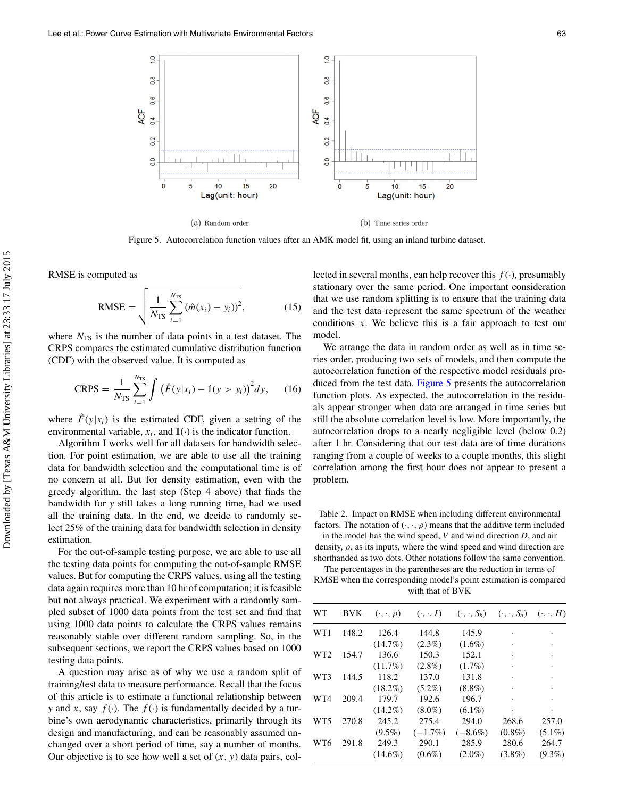<span id="page-8-0"></span>

Figure 5. Autocorrelation function values after an AMK model fit, using an inland turbine dataset.

RMSE is computed as

RMSE = 
$$
\sqrt{\frac{1}{N_{\text{TS}}}\sum_{i=1}^{N_{\text{TS}}} (\hat{m}(x_i) - y_i))^2},
$$
 (15)

where  $N_{\text{TS}}$  is the number of data points in a test dataset. The CRPS compares the estimated cumulative distribution function (CDF) with the observed value. It is computed as

$$
CRPS = \frac{1}{N_{\text{TS}}} \sum_{i=1}^{N_{\text{TS}}} \int (\hat{F}(y|x_i) - \mathbb{1}(y > y_i))^2 dy, \quad (16)
$$

where  $\hat{F}(y|x_i)$  is the estimated CDF, given a setting of the environmental variable,  $x_i$ , and  $\mathbb{1}(\cdot)$  is the indicator function.

Algorithm I works well for all datasets for bandwidth selection. For point estimation, we are able to use all the training data for bandwidth selection and the computational time is of no concern at all. But for density estimation, even with the greedy algorithm, the last step (Step 4 above) that finds the bandwidth for *y* still takes a long running time, had we used all the training data. In the end, we decide to randomly select 25% of the training data for bandwidth selection in density estimation.

For the out-of-sample testing purpose, we are able to use all the testing data points for computing the out-of-sample RMSE values. But for computing the CRPS values, using all the testing data again requires more than 10 hr of computation; it is feasible but not always practical. We experiment with a randomly sampled subset of 1000 data points from the test set and find that using 1000 data points to calculate the CRPS values remains reasonably stable over different random sampling. So, in the subsequent sections, we report the CRPS values based on 1000 testing data points.

A question may arise as of why we use a random split of training/test data to measure performance. Recall that the focus of this article is to estimate a functional relationship between *y* and *x*, say  $f(.)$ . The  $f(.)$  is fundamentally decided by a turbine's own aerodynamic characteristics, primarily through its design and manufacturing, and can be reasonably assumed unchanged over a short period of time, say a number of months. Our objective is to see how well a set of (*x, y*) data pairs, collected in several months, can help recover this  $f(\cdot)$ , presumably stationary over the same period. One important consideration that we use random splitting is to ensure that the training data and the test data represent the same spectrum of the weather conditions *x*. We believe this is a fair approach to test our model.

We arrange the data in random order as well as in time series order, producing two sets of models, and then compute the autocorrelation function of the respective model residuals produced from the test data. [Figure 5](#page-8-0) presents the autocorrelation function plots. As expected, the autocorrelation in the residuals appear stronger when data are arranged in time series but still the absolute correlation level is low. More importantly, the autocorrelation drops to a nearly negligible level (below 0.2) after 1 hr. Considering that our test data are of time durations ranging from a couple of weeks to a couple months, this slight correlation among the first hour does not appear to present a problem.

<span id="page-8-1"></span>Table 2. Impact on RMSE when including different environmental factors. The notation of  $(\cdot, \cdot, \rho)$  means that the additive term included

in the model has the wind speed, *V* and wind direction *D*, and air density,  $\rho$ , as its inputs, where the wind speed and wind direction are shorthanded as two dots. Other notations follow the same convention.

The percentages in the parentheses are the reduction in terms of RMSE when the corresponding model's point estimation is compared with that of BVK

|                 |       | $(\cdot, \cdot, \rho)$ | $(\cdot, \cdot, I)$ |            | $(\cdot, \cdot, S_h)$ $(\cdot, \cdot, S_a)$ $(\cdot, \cdot, H)$ |           |
|-----------------|-------|------------------------|---------------------|------------|-----------------------------------------------------------------|-----------|
|                 |       |                        |                     |            |                                                                 |           |
| WT1             | 148.2 | 126.4                  | 144.8               | 145.9      |                                                                 |           |
|                 |       | $(14.7\%)$             | $(2.3\%)$           | $(1.6\%)$  | ٠                                                               | ٠         |
| WT2             | 154.7 | 136.6                  | 150.3               | 152.1      | ۰                                                               | ٠         |
|                 |       | $(11.7\%)$             | $(2.8\%)$           | $(1.7\%)$  |                                                                 | $\bullet$ |
| WT3             | 144.5 | 118.2                  | 137.0               | 131.8      |                                                                 | $\bullet$ |
|                 |       | $(18.2\%)$             | $(5.2\%)$           | $(8.8\%)$  |                                                                 |           |
| WT4             | 209.4 | 179.7                  | 192.6               | 196.7      | ۰                                                               | ٠         |
|                 |       | $(14.2\%)$             | $(8.0\%)$           | $(6.1\%)$  |                                                                 |           |
| WT <sub>5</sub> | 270.8 | 245.2                  | 275.4               | 294.0      | 268.6                                                           | 257.0     |
|                 |       | $(9.5\%)$              | $(-1.7\%)$          | $(-8.6\%)$ | $(0.8\%)$                                                       | $(5.1\%)$ |
| WT6             | 291.8 | 249.3                  | 290.1               | 285.9      | 280.6                                                           | 264.7     |
|                 |       | $(14.6\%)$             | $(0.6\%)$           | $(2.0\%)$  | $(3.8\%)$                                                       | $(9.3\%)$ |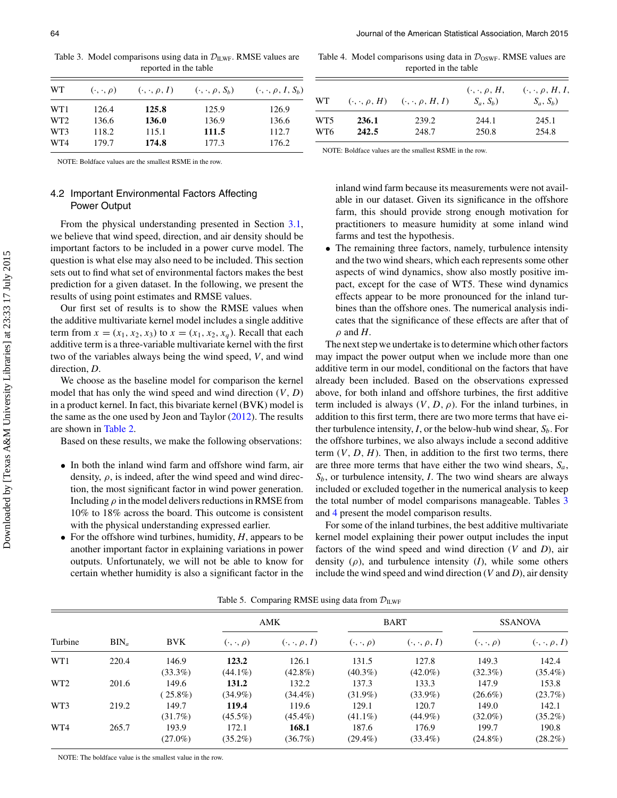| <b>WT</b>       | $(\cdot, \cdot, \rho)$ | $(\cdot, \cdot, \rho, I)$ | $(\cdot,\cdot,\rho,S_h)$ | $(\cdot, \cdot, \rho, I, S_b)$ |
|-----------------|------------------------|---------------------------|--------------------------|--------------------------------|
| WT1             | 126.4                  | 125.8                     | 125.9                    | 126.9                          |
| WT <sub>2</sub> | 136.6                  | 136.0                     | 136.9                    | 136.6                          |
| WT3             | 118.2                  | 115.1                     | 111.5                    | 112.7                          |
| WT4             | 179.7                  | 174.8                     | 177.3                    | 176.2                          |

<span id="page-9-0"></span>Table 3. Model comparisons using data in  $\mathcal{D}_{\text{ILWF}}$ . RMSE values are reported in the table

NOTE: Boldface values are the smallest RSME in the row.

# 4.2 Important Environmental Factors Affecting Power Output

From the physical understanding presented in Section [3.1,](#page-4-2) we believe that wind speed, direction, and air density should be important factors to be included in a power curve model. The question is what else may also need to be included. This section sets out to find what set of environmental factors makes the best prediction for a given dataset. In the following, we present the results of using point estimates and RMSE values.

Our first set of results is to show the RMSE values when the additive multivariate kernel model includes a single additive term from  $x = (x_1, x_2, x_3)$  to  $x = (x_1, x_2, x_4)$ . Recall that each additive term is a three-variable multivariate kernel with the first two of the variables always being the wind speed, *V*, and wind direction, *D*.

We choose as the baseline model for comparison the kernel model that has only the wind speed and wind direction (*V,D*) in a product kernel. In fact, this bivariate kernel (BVK) model is the same as the one used by Jeon and Taylor [\(2012\)](#page-11-11). The results are shown in [Table 2.](#page-8-1)

Based on these results, we make the following observations:

- In both the inland wind farm and offshore wind farm, air density,  $\rho$ , is indeed, after the wind speed and wind direction, the most significant factor in wind power generation. Including *ρ* in the model delivers reductions in RMSE from 10% to 18% across the board. This outcome is consistent with the physical understanding expressed earlier.
- For the offshore wind turbines, humidity, *H*, appears to be another important factor in explaining variations in power outputs. Unfortunately, we will not be able to know for certain whether humidity is also a significant factor in the

<span id="page-9-1"></span>Table 4. Model comparisons using data in  $\mathcal{D}_{OSWF}$ . RMSE values are reported in the table

| WТ  | $(\cdot,\cdot,\rho,H)$ | $(\cdot,\cdot,\rho,H,I)$ | $(\cdot, \cdot, \rho, H,$<br>$S_a$ , $S_b$ ) | $(\cdot, \cdot, \rho, H, I,$<br>$S_a, S_b$ |
|-----|------------------------|--------------------------|----------------------------------------------|--------------------------------------------|
| WT5 | 236.1                  | 239.2                    | 244.1                                        | 245.1                                      |
| WT6 | 242.5                  | 248.7                    | 250.8                                        | 254.8                                      |

NOTE: Boldface values are the smallest RSME in the row.

inland wind farm because its measurements were not available in our dataset. Given its significance in the offshore farm, this should provide strong enough motivation for practitioners to measure humidity at some inland wind farms and test the hypothesis.

• The remaining three factors, namely, turbulence intensity and the two wind shears, which each represents some other aspects of wind dynamics, show also mostly positive impact, except for the case of WT5. These wind dynamics effects appear to be more pronounced for the inland turbines than the offshore ones. The numerical analysis indicates that the significance of these effects are after that of *ρ* and *H*.

<span id="page-9-3"></span>The next step we undertake is to determine which other factors may impact the power output when we include more than one additive term in our model, conditional on the factors that have already been included. Based on the observations expressed above, for both inland and offshore turbines, the first additive term included is always  $(V, D, \rho)$ . For the inland turbines, in addition to this first term, there are two more terms that have either turbulence intensity,  $I$ , or the below-hub wind shear,  $S_b$ . For the offshore turbines, we also always include a second additive term  $(V, D, H)$ . Then, in addition to the first two terms, there are three more terms that have either the two wind shears,  $S_a$ , *Sb*, or turbulence intensity, *I*. The two wind shears are always included or excluded together in the numerical analysis to keep the total number of model comparisons manageable. Tables [3](#page-9-0) and [4](#page-9-1) present the model comparison results.

For some of the inland turbines, the best additive multivariate kernel model explaining their power output includes the input factors of the wind speed and wind direction (*V* and *D*), air density (*ρ*), and turbulence intensity (*I*), while some others include the wind speed and wind direction (*V* and *D*), air density

<span id="page-9-2"></span>

|                 |                |            |                        | AMK                       |                        | <b>BART</b>               |                        | <b>SSANOVA</b>         |
|-----------------|----------------|------------|------------------------|---------------------------|------------------------|---------------------------|------------------------|------------------------|
| Turbine         | $\text{BIN}_a$ | <b>BVK</b> | $(\cdot, \cdot, \rho)$ | $(\cdot, \cdot, \rho, I)$ | $(\cdot, \cdot, \rho)$ | $(\cdot, \cdot, \rho, I)$ | $(\cdot, \cdot, \rho)$ | $(\cdot,\cdot,\rho,I)$ |
| WT1             | 220.4          | 146.9      | 123.2                  | 126.1                     | 131.5                  | 127.8                     | 149.3                  | 142.4                  |
|                 |                | $(33.3\%)$ | $(44.1\%)$             | $(42.8\%)$                | $(40.3\%)$             | $(42.0\%)$                | $(32.3\%)$             | $(35.4\%)$             |
| WT <sub>2</sub> | 201.6          | 149.6      | 131.2                  | 132.2                     | 137.3                  | 133.3                     | 147.9                  | 153.8                  |
|                 |                | $(25.8\%)$ | $(34.9\%)$             | $(34.4\%)$                | $(31.9\%)$             | $(33.9\%)$                | $(26.6\%)$             | (23.7%)                |
| WT3             | 219.2          | 149.7      | 119.4                  | 119.6                     | 129.1                  | 120.7                     | 149.0                  | 142.1                  |
|                 |                | $(31.7\%)$ | $(45.5\%)$             | $(45.4\%)$                | $(41.1\%)$             | $(44.9\%)$                | $(32.0\%)$             | $(35.2\%)$             |
| WT4             | 265.7          | 193.9      | 172.1                  | 168.1                     | 187.6                  | 176.9                     | 199.7                  | 190.8                  |
|                 |                | $(27.0\%)$ | $(35.2\%)$             | (36.7%)                   | $(29.4\%)$             | $(33.4\%)$                | $(24.8\%)$             | $(28.2\%)$             |

Table 5. Comparing RMSE using data from  $\mathcal{D}_{\text{ILWF}}$ 

NOTE: The boldface value is the smallest value in the row.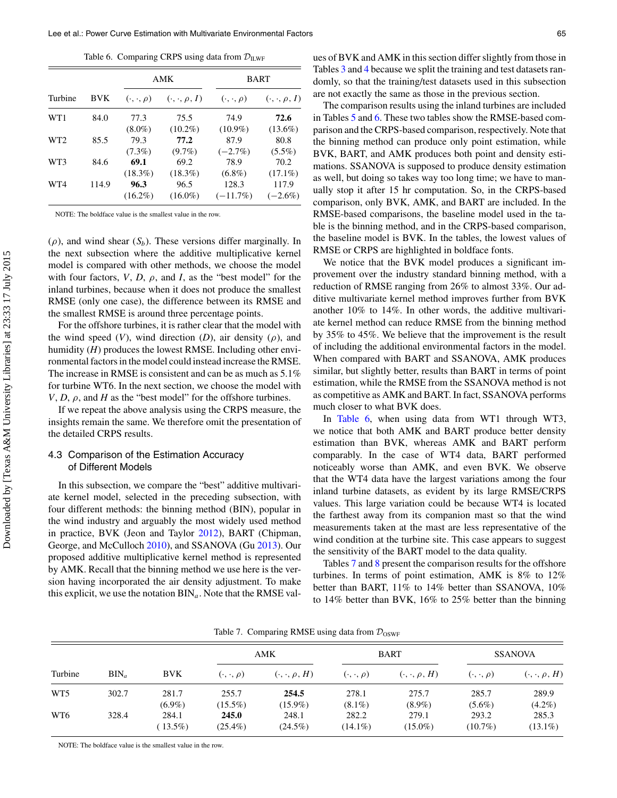Table 6. Comparing CRPS using data from  $\mathcal{D}_{\text{ILWF}}$ 

<span id="page-10-0"></span>

|                 |            | AMK                    |                           | <b>BART</b>            |                        |  |
|-----------------|------------|------------------------|---------------------------|------------------------|------------------------|--|
| Turbine         | <b>BVK</b> | $(\cdot, \cdot, \rho)$ | $(\cdot, \cdot, \rho, I)$ | $(\cdot, \cdot, \rho)$ | $(\cdot,\cdot,\rho,I)$ |  |
| WT1             | 84.0       | 77.3                   | 75.5                      | 74.9                   | 72.6                   |  |
|                 |            | $(8.0\%)$              | $(10.2\%)$                | $(10.9\%)$             | $(13.6\%)$             |  |
| WT <sub>2</sub> | 85.5       | 79.3                   | 77.2                      | 87.9                   | 80.8                   |  |
|                 |            | $(7.3\%)$              | $(9.7\%)$                 | $(-2.7\%)$             | $(5.5\%)$              |  |
| WT3             | 84.6       | 69.1                   | 69.2                      | 78.9                   | 70.2                   |  |
|                 |            | $(18.3\%)$             | $(18.3\%)$                | $(6.8\%)$              | $(17.1\%)$             |  |
| WT4             | 114.9      | 96.3                   | 96.5                      | 128.3                  | 117.9                  |  |
|                 |            | $(16.2\%)$             | $(16.0\%)$                | $(-11.7\%)$            | $(-2.6\%)$             |  |

NOTE: The boldface value is the smallest value in the row.

 $(\rho)$ , and wind shear  $(S_b)$ . These versions differ marginally. In the next subsection where the additive multiplicative kernel model is compared with other methods, we choose the model with four factors,  $V$ ,  $D$ ,  $\rho$ , and  $I$ , as the "best model" for the inland turbines, because when it does not produce the smallest RMSE (only one case), the difference between its RMSE and the smallest RMSE is around three percentage points.

For the offshore turbines, it is rather clear that the model with the wind speed  $(V)$ , wind direction  $(D)$ , air density  $(\rho)$ , and humidity (*H*) produces the lowest RMSE. Including other environmental factors in the model could instead increase the RMSE. The increase in RMSE is consistent and can be as much as 5.1% for turbine WT6. In the next section, we choose the model with *V*, *D*,  $\rho$ , and *H* as the "best model" for the offshore turbines.

If we repeat the above analysis using the CRPS measure, the insights remain the same. We therefore omit the presentation of the detailed CRPS results.

# 4.3 Comparison of the Estimation Accuracy of Different Models

In this subsection, we compare the "best" additive multivariate kernel model, selected in the preceding subsection, with four different methods: the binning method (BIN), popular in the wind industry and arguably the most widely used method in practice, BVK (Jeon and Taylor [2012\)](#page-11-11), BART (Chipman, George, and McCulloch [2010\)](#page-11-18), and SSANOVA (Gu [2013\)](#page-11-19). Our proposed additive multiplicative kernel method is represented by AMK. Recall that the binning method we use here is the version having incorporated the air density adjustment. To make this explicit, we use the notation BIN*a*. Note that the RMSE values of BVK and AMK in this section differ slightly from those in Tables [3](#page-9-0) and [4](#page-9-1) because we split the training and test datasets randomly, so that the training/test datasets used in this subsection are not exactly the same as those in the previous section.

The comparison results using the inland turbines are included in Tables [5](#page-9-2) and [6.](#page-10-0) These two tables show the RMSE-based comparison and the CRPS-based comparison, respectively. Note that the binning method can produce only point estimation, while BVK, BART, and AMK produces both point and density estimations. SSANOVA is supposed to produce density estimation as well, but doing so takes way too long time; we have to manually stop it after 15 hr computation. So, in the CRPS-based comparison, only BVK, AMK, and BART are included. In the RMSE-based comparisons, the baseline model used in the table is the binning method, and in the CRPS-based comparison, the baseline model is BVK. In the tables, the lowest values of RMSE or CRPS are highlighted in boldface fonts.

We notice that the BVK model produces a significant improvement over the industry standard binning method, with a reduction of RMSE ranging from 26% to almost 33%. Our additive multivariate kernel method improves further from BVK another 10% to 14%. In other words, the additive multivariate kernel method can reduce RMSE from the binning method by 35% to 45%. We believe that the improvement is the result of including the additional environmental factors in the model. When compared with BART and SSANOVA, AMK produces similar, but slightly better, results than BART in terms of point estimation, while the RMSE from the SSANOVA method is not as competitive as AMK and BART. In fact, SSANOVA performs much closer to what BVK does.

In [Table 6,](#page-10-0) when using data from WT1 through WT3, we notice that both AMK and BART produce better density estimation than BVK, whereas AMK and BART perform comparably. In the case of WT4 data, BART performed noticeably worse than AMK, and even BVK. We observe that the WT4 data have the largest variations among the four inland turbine datasets, as evident by its large RMSE/CRPS values. This large variation could be because WT4 is located the farthest away from its companion mast so that the wind measurements taken at the mast are less representative of the wind condition at the turbine site. This case appears to suggest the sensitivity of the BART model to the data quality.

<span id="page-10-3"></span>Tables [7](#page-10-1) and [8](#page-11-24) present the comparison results for the offshore turbines. In terms of point estimation, AMK is 8% to 12% better than BART, 11% to 14% better than SSANOVA, 10% to 14% better than BVK, 16% to 25% better than the binning

<span id="page-10-1"></span>

|         |                |            |                        |                        |                        |                           | <b>SSANOVA</b>         |                           |
|---------|----------------|------------|------------------------|------------------------|------------------------|---------------------------|------------------------|---------------------------|
|         |                |            |                        | AMK                    |                        | BART                      |                        |                           |
| Turbine | $\text{BIN}_a$ | <b>BVK</b> | $(\cdot, \cdot, \rho)$ | $(\cdot,\cdot,\rho,H)$ | $(\cdot, \cdot, \rho)$ | $(\cdot, \cdot, \rho, H)$ | $(\cdot, \cdot, \rho)$ | $(\cdot, \cdot, \rho, H)$ |
| WT5     | 302.7          | 281.7      | 255.7                  | 254.5                  | 278.1                  | 275.7                     | 285.7                  | 289.9                     |
|         |                | $(6.9\%)$  | $(15.5\%)$             | $(15.9\%)$             | $(8.1\%)$              | $(8.9\%)$                 | $(5.6\%)$              | $(4.2\%)$                 |
| WT6     | 328.4          | 284.1      | 245.0                  | 248.1                  | 282.2                  | 279.1                     | 293.2                  | 285.3                     |
|         |                | $13.5\%$   | $(25.4\%)$             | $(24.5\%)$             | $(14.1\%)$             | $(15.0\%)$                | $(10.7\%)$             | $(13.1\%)$                |

<span id="page-10-4"></span><span id="page-10-2"></span>Table 7. Comparing RMSE using data from  $\mathcal{D}_{\text{OSWF}}$ 

NOTE: The boldface value is the smallest value in the row.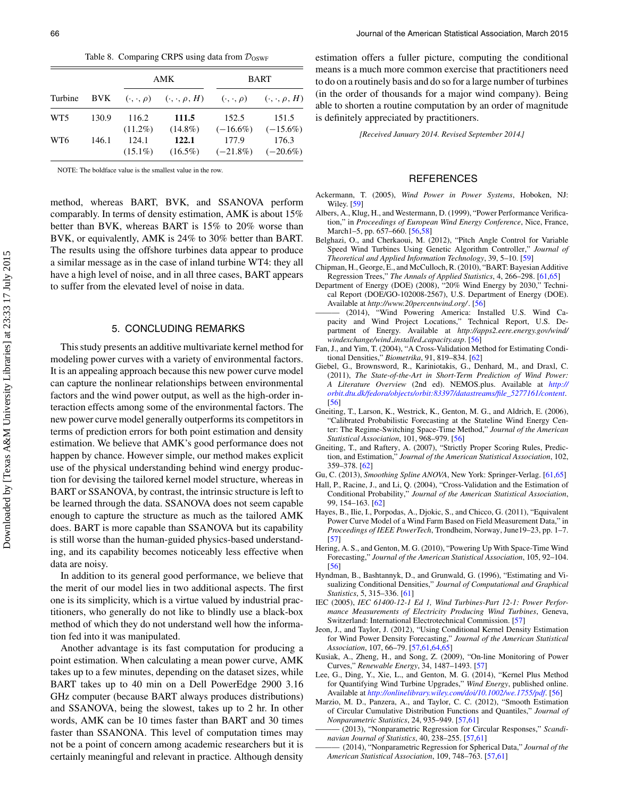<span id="page-11-24"></span>

|                 | Table 8. Comparing CRPS using data from $\mathcal{D}_{OSWF}$ |                     |                                                                                                       |             |                                  |  |  |
|-----------------|--------------------------------------------------------------|---------------------|-------------------------------------------------------------------------------------------------------|-------------|----------------------------------|--|--|
| Turbine         |                                                              | AMK                 |                                                                                                       | <b>BART</b> |                                  |  |  |
|                 |                                                              |                     | BVK $(\cdot, \cdot, \rho)$ $(\cdot, \cdot, \rho, H)$ $(\cdot, \cdot, \rho)$ $(\cdot, \cdot, \rho, H)$ |             |                                  |  |  |
| WT <sub>5</sub> | 130.9                                                        | 116.2               | 111.5<br>$(11.2\%)$ $(14.8\%)$ $(-16.6\%)$ $(-15.6\%)$                                                | 152.5       | 151.5                            |  |  |
| WT <sub>6</sub> | 146.1                                                        | 124.1<br>$(15.1\%)$ | 122.1<br>$(16.5\%)$                                                                                   | 177.9       | 176.3<br>$(-21.8\%)$ $(-20.6\%)$ |  |  |

NOTE: The boldface value is the smallest value in the row.

method, whereas BART, BVK, and SSANOVA perform comparably. In terms of density estimation, AMK is about 15% better than BVK, whereas BART is 15% to 20% worse than BVK, or equivalently, AMK is 24% to 30% better than BART. The results using the offshore turbines data appear to produce a similar message as in the case of inland turbine WT4: they all have a high level of noise, and in all three cases, BART appears to suffer from the elevated level of noise in data.

#### 5. CONCLUDING REMARKS

This study presents an additive multivariate kernel method for modeling power curves with a variety of environmental factors. It is an appealing approach because this new power curve model can capture the nonlinear relationships between environmental factors and the wind power output, as well as the high-order interaction effects among some of the environmental factors. The new power curve model generally outperforms its competitors in terms of prediction errors for both point estimation and density estimation. We believe that AMK's good performance does not happen by chance. However simple, our method makes explicit use of the physical understanding behind wind energy production for devising the tailored kernel model structure, whereas in BART or SSANOVA, by contrast, the intrinsic structure is left to be learned through the data. SSANOVA does not seem capable enough to capture the structure as much as the tailored AMK does. BART is more capable than SSANOVA but its capability is still worse than the human-guided physics-based understanding, and its capability becomes noticeably less effective when data are noisy.

In addition to its general good performance, we believe that the merit of our model lies in two additional aspects. The first one is its simplicity, which is a virtue valued by industrial practitioners, who generally do not like to blindly use a black-box method of which they do not understand well how the information fed into it was manipulated.

Another advantage is its fast computation for producing a point estimation. When calculating a mean power curve, AMK takes up to a few minutes, depending on the dataset sizes, while BART takes up to 40 min on a Dell PowerEdge 2900 3.16 GHz computer (because BART always produces distributions) and SSANOVA, being the slowest, takes up to 2 hr. In other words, AMK can be 10 times faster than BART and 30 times faster than SSANONA. This level of computation times may not be a point of concern among academic researchers but it is certainly meaningful and relevant in practice. Although density

estimation offers a fuller picture, computing the conditional means is a much more common exercise that practitioners need to do on a routinely basis and do so for a large number of turbines (in the order of thousands for a major wind company). Being able to shorten a routine computation by an order of magnitude is definitely appreciated by practitioners.

*[Received January 2014. Revised September 2014.]*

#### <span id="page-11-18"></span><span id="page-11-17"></span><span id="page-11-4"></span><span id="page-11-1"></span><span id="page-11-0"></span>**REFERENCES**

- <span id="page-11-16"></span>Ackermann, T. (2005), *Wind Power in Power Systems*, Hoboken, NJ: Wiley. [\[59\]](#page-4-3)
- Albers, A., Klug, H., and Westermann, D. (1999), "Power Performance Verification," in *Proceedings of European Wind Energy Conference*, Nice, France, March1-5, pp. 657-660. [\[56](#page-1-0)[,58\]](#page-3-2)
- Belghazi, O., and Cherkaoui, M. (2012), "Pitch Angle Control for Variable Speed Wind Turbines Using Genetic Algorithm Controller," *Journal of Theoretical and Applied Information Technology*, 39, 5–10. [\[59\]](#page-4-4)
- Chipman, H., George, E., and McCulloch, R. (2010), "BART: Bayesian Additive Regression Trees," *The Annals of Applied Statistics*, 4, 266–298. [\[61,](#page-6-3)[65\]](#page-10-2)
- Department of Energy (DOE) (2008), "20% Wind Energy by 2030," Technical Report (DOE/GO-102008-2567), U.S. Department of Energy (DOE). Available at *http://www.20percentwind.org/*. [\[56\]](#page-1-1)
- (2014), "Wind Powering America: Installed U.S. Wind Capacity and Wind Project Locations," Technical Report, U.S. Department of Energy. Available at *http://apps2.eere.energy.gov/wind/ windexchange/wind installed capacity.asp*. [\[56\]](#page-1-2)
- <span id="page-11-22"></span><span id="page-11-15"></span>Fan, J., and Yim, T. (2004), "A Cross-Validation Method for Estimating Conditional Densities," *Biometrika*, 91, 819–834. [\[62\]](#page-7-1)
- <span id="page-11-3"></span>Giebel, G., Brownsword, R., Kariniotakis, G., Denhard, M., and Draxl, C. (2011), *The State-of-the-Art in Short-Term Prediction of Wind Power: A Literature Overview* (2nd ed). NEMOS.plus. Available at *http:// orbit.dtu.dk/fedora/objects/orbit:83397/datastreams/file\_5277161/content*. [\[56\]](#page-1-3)
- <span id="page-11-6"></span>Gneiting, T., Larson, K., Westrick, K., Genton, M. G., and Aldrich, E. (2006), "Calibrated Probabilistic Forecasting at the Stateline Wind Energy Center: The Regime-Switching Space-Time Method," *Journal of the American Statistical Association*, 101, 968–979. [\[56\]](#page-1-4)
- <span id="page-11-23"></span>Gneiting, T., and Raftery, A. (2007), "Strictly Proper Scoring Rules, Prediction, and Estimation," *Journal of the American Statistical Association*, 102, 359–378. [\[62\]](#page-7-2)
- <span id="page-11-19"></span>Gu, C. (2013), *Smoothing Spline ANOVA*, New York: Springer-Verlag. [\[61,](#page-6-4)[65\]](#page-10-3)
- <span id="page-11-21"></span>Hall, P., Racine, J., and Li, Q. (2004), "Cross-Validation and the Estimation of Conditional Probability," *Journal of the American Statistical Association*, 99, 154–163. [\[62\]](#page-7-3)
- <span id="page-11-10"></span>Hayes, B., Ilie, I., Porpodas, A., Djokic, S., and Chicco, G. (2011), "Equivalent Power Curve Model of a Wind Farm Based on Field Measurement Data," in *Proceedings of IEEE PowerTech*, Trondheim, Norway, June19–23, pp. 1–7. [\[57\]](#page-2-1)
- <span id="page-11-7"></span>Hering, A. S., and Genton, M. G. (2010), "Powering Up With Space-Time Wind Forecasting," *Journal of the American Statistical Association*, 105, 92–104. [\[56\]](#page-1-5)
- <span id="page-11-20"></span>Hyndman, B., Bashtannyk, D., and Grunwald, G. (1996), "Estimating and Visualizing Conditional Densities," *Journal of Computational and Graphical Statistics*, 5, 315–336. [\[61\]](#page-6-5)
- <span id="page-11-8"></span>IEC (2005), *IEC 61400-12-1 Ed 1, Wind Turbines-Part 12-1: Power Performance Measurements of Electricity Producing Wind Turbines*, Geneva, Switzerland: International Electrotechnical Commission. [\[57\]](#page-2-2)
- <span id="page-11-11"></span>Jeon, J., and Taylor, J. (2012), "Using Conditional Kernel Density Estimation for Wind Power Density Forecasting," *Journal of the American Statistical Association*, 107, 66–79. [\[57,](#page-2-3)[61,](#page-6-6)[64,](#page-9-3)[65\]](#page-10-4)
- <span id="page-11-9"></span>Kusiak, A., Zheng, H., and Song, Z. (2009), "On-line Monitoring of Power Curves," *Renewable Energy*, 34, 1487–1493. [\[57\]](#page-2-4)
- <span id="page-11-5"></span>Lee, G., Ding, Y., Xie, L., and Genton, M. G. (2014), "Kernel Plus Method for Quantifying Wind Turbine Upgrades," *Wind Energy*, published online. Available at *<http://onlinelibrary.wiley.com/doi/10.1002/we.1755/pdf>*. [\[56\]](#page-1-6)
- Marzio, M. D., Panzera, A., and Taylor, C. C. (2012), "Smooth Estimation of Circular Cumulative Distribution Functions and Quantiles," *Journal of Nonparametric Statistics*, 24, 935–949. [\[57,](#page-2-5)[61\]](#page-6-7)
- <span id="page-11-12"></span>(2013), "Nonparametric Regression for Circular Responses," Scandi*navian Journal of Statistics*, 40, 238–255. [\[57,](#page-2-6)[61\]](#page-6-8)
- <span id="page-11-14"></span><span id="page-11-13"></span><span id="page-11-2"></span>——— (2014), "Nonparametric Regression for Spherical Data," *Journal of the American Statistical Association*, 109, 748–763. [\[57,](#page-2-7)[61\]](#page-6-9)